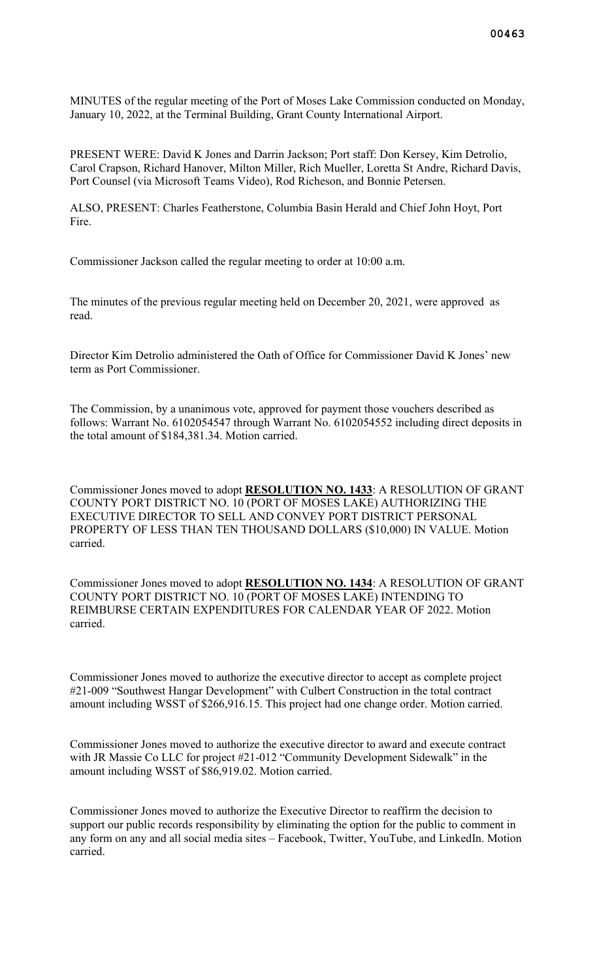MINUTES of the regular meeting of the Port of Moses Lake Commission conducted on Monday, January 10, 2022, at the Terminal Building, Grant County International Airport.

PRESENT WERE: David K Jones and Darrin Jackson; Port staff: Don Kersey, Kim Detrolio, Carol Crapson, Richard Hanover, Milton Miller, Rich Mueller, Loretta St Andre, Richard Davis, Port Counsel (via Microsoft Teams Video), Rod Richeson, and Bonnie Petersen.

ALSO, PRESENT: Charles Featherstone, Columbia Basin Herald and Chief John Hoyt, Port Fire.

Commissioner Jackson called the regular meeting to order at 10:00 a.m.

The minutes of the previous regular meeting held on December 20, 2021, were approved as read.

Director Kim Detrolio administered the Oath of Office for Commissioner David K Jones' new term as Port Commissioner.

The Commission, by a unanimous vote, approved for payment those vouchers described as follows: Warrant No. 6102054547 through Warrant No. 6102054552 including direct deposits in the total amount of \$184,381.34. Motion carried.

Commissioner Jones moved to adopt **RESOLUTION NO. 1433**: A RESOLUTION OF GRANT COUNTY PORT DISTRICT NO. 10 (PORT OF MOSES LAKE) AUTHORIZING THE EXECUTIVE DIRECTOR TO SELL AND CONVEY PORT DISTRICT PERSONAL PROPERTY OF LESS THAN TEN THOUSAND DOLLARS (\$10,000) IN VALUE. Motion carried.

Commissioner Jones moved to adopt **RESOLUTION NO. 1434**: A RESOLUTION OF GRANT COUNTY PORT DISTRICT NO. 10 (PORT OF MOSES LAKE) INTENDING TO REIMBURSE CERTAIN EXPENDITURES FOR CALENDAR YEAR OF 2022. Motion carried.

Commissioner Jones moved to authorize the executive director to accept as complete project #21-009 "Southwest Hangar Development" with Culbert Construction in the total contract amount including WSST of \$266,916.15. This project had one change order. Motion carried.

Commissioner Jones moved to authorize the executive director to award and execute contract with JR Massie Co LLC for project #21-012 "Community Development Sidewalk" in the amount including WSST of \$86,919.02. Motion carried.

Commissioner Jones moved to authorize the Executive Director to reaffirm the decision to support our public records responsibility by eliminating the option for the public to comment in any form on any and all social media sites – Facebook, Twitter, YouTube, and LinkedIn. Motion carried.